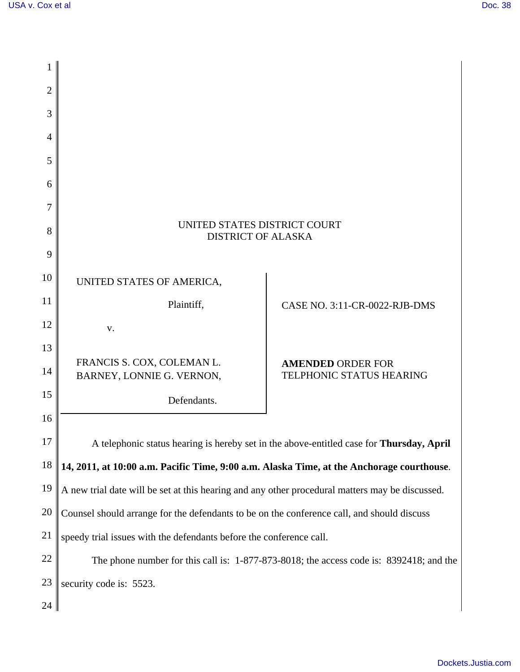| 1              |                                                                                                 |                                                      |  |
|----------------|-------------------------------------------------------------------------------------------------|------------------------------------------------------|--|
| $\overline{2}$ |                                                                                                 |                                                      |  |
| 3              |                                                                                                 |                                                      |  |
| $\overline{A}$ |                                                                                                 |                                                      |  |
| 5              |                                                                                                 |                                                      |  |
| 6              |                                                                                                 |                                                      |  |
| 7              |                                                                                                 |                                                      |  |
| 8              | UNITED STATES DISTRICT COURT<br><b>DISTRICT OF ALASKA</b>                                       |                                                      |  |
| 9              |                                                                                                 |                                                      |  |
| 10             | UNITED STATES OF AMERICA,                                                                       |                                                      |  |
| 11             | Plaintiff,                                                                                      | CASE NO. 3:11-CR-0022-RJB-DMS                        |  |
| 12             | V.                                                                                              |                                                      |  |
| 13             |                                                                                                 |                                                      |  |
| 14             | FRANCIS S. COX, COLEMAN L.<br>BARNEY, LONNIE G. VERNON,                                         | <b>AMENDED ORDER FOR</b><br>TELPHONIC STATUS HEARING |  |
| 15             | Defendants.                                                                                     |                                                      |  |
| 16             |                                                                                                 |                                                      |  |
| 17             | A telephonic status hearing is hereby set in the above-entitled case for Thursday, April        |                                                      |  |
| 18             | 14, 2011, at 10:00 a.m. Pacific Time, 9:00 a.m. Alaska Time, at the Anchorage courthouse.       |                                                      |  |
| 19             | A new trial date will be set at this hearing and any other procedural matters may be discussed. |                                                      |  |
| 20             | Counsel should arrange for the defendants to be on the conference call, and should discuss      |                                                      |  |
| 21             | speedy trial issues with the defendants before the conference call.                             |                                                      |  |
| 22             | The phone number for this call is: 1-877-873-8018; the access code is: 8392418; and the         |                                                      |  |
| 23             | security code is: 5523.                                                                         |                                                      |  |
| 24             |                                                                                                 |                                                      |  |